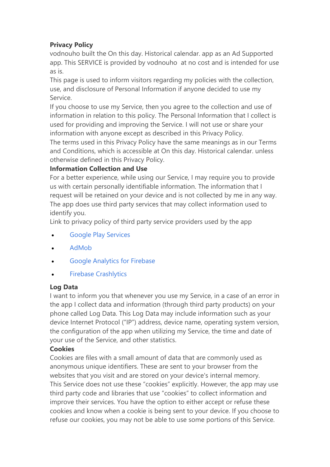## **Privacy Policy**

vodnouho built the On this day. Historical calendar. app as an Ad Supported app. This SERVICE is provided by vodnouho at no cost and is intended for use as is.

This page is used to inform visitors regarding my policies with the collection, use, and disclosure of Personal Information if anyone decided to use my Service.

If you choose to use my Service, then you agree to the collection and use of information in relation to this policy. The Personal Information that I collect is used for providing and improving the Service. I will not use or share your information with anyone except as described in this Privacy Policy.

The terms used in this Privacy Policy have the same meanings as in our Terms and Conditions, which is accessible at On this day. Historical calendar. unless otherwise defined in this Privacy Policy.

## **Information Collection and Use**

For a better experience, while using our Service, I may require you to provide us with certain personally identifiable information. The information that I request will be retained on your device and is not collected by me in any way. The app does use third party services that may collect information used to identify you.

Link to privacy policy of third party service providers used by the app

- Google Play [Services](https://www.google.com/policies/privacy/)
- [AdMob](https://support.google.com/admob/answer/6128543?hl=en)
- Google [Analytics](https://firebase.google.com/policies/analytics) for Firebase
- Firebase [Crashlytics](https://firebase.google.com/support/privacy/)

## **Log Data**

I want to inform you that whenever you use my Service, in a case of an error in the app I collect data and information (through third party products) on your phone called Log Data. This Log Data may include information such as your device Internet Protocol ("IP") address, device name, operating system version, the configuration of the app when utilizing my Service, the time and date of your use of the Service, and other statistics.

# **Cookies**

Cookies are files with a small amount of data that are commonly used as anonymous unique identifiers. These are sent to your browser from the websites that you visit and are stored on your device's internal memory. This Service does not use these "cookies" explicitly. However, the app may use third party code and libraries that use "cookies" to collect information and improve their services. You have the option to either accept or refuse these cookies and know when a cookie is being sent to your device. If you choose to refuse our cookies, you may not be able to use some portions of this Service.